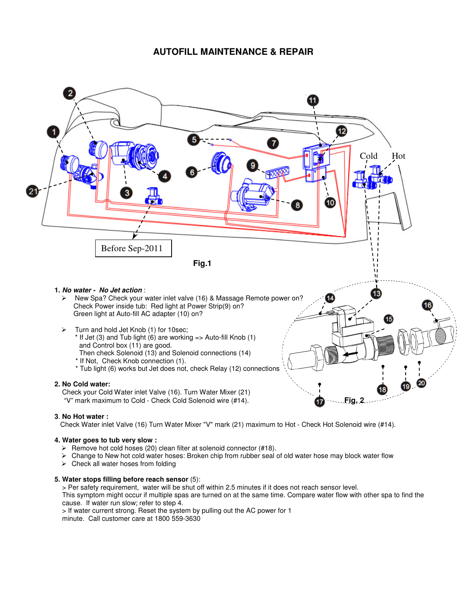## **AUTOFILL MAINTENANCE & REPAIR**



## **3**. **No Hot water :**

Check Water inlet Valve (16) Turn Water Mixer "V" mark (21) maximum to Hot - Check Hot Solenoid wire (#14).

## **4. Water goes to tub very slow :**

- $\triangleright$  Remove hot cold hoses (20) clean filter at solenoid connector (#18).
- Change to New hot cold water hoses: Broken chip from rubber seal of old water hose may block water flow
- $\triangleright$  Check all water hoses from folding

## **5. Water stops filling before reach sensor** (5):

> Per safety requirement, water will be shut off within 2.5 minutes if it does not reach sensor level.

 This symptom might occur if multiple spas are turned on at the same time. Compare water flow with other spa to find the cause. If water run slow; refer to step 4.

> If water current strong. Reset the system by pulling out the AC power for 1

minute. Call customer care at 1800 559-3630